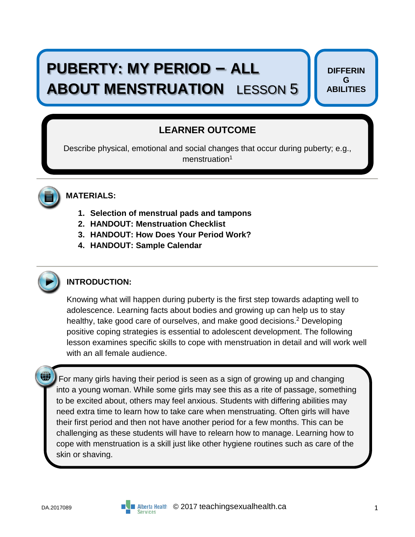# **PUBERTY: MY PERIOD – ALL ABOUT MENSTRUATION** LESSON 5

**DIFFERIN G ABILITIES**

# **LEARNER OUTCOME**

Describe physical, emotional and social changes that occur during puberty; e.g., menstruation<sup>1</sup>



# **MATERIALS:**

- **1. Selection of menstrual pads and tampons**
- **2. HANDOUT: Menstruation Checklist**
- **3. HANDOUT: How Does Your Period Work?**
- **4. HANDOUT: Sample Calendar**



**(iii)** 

## **INTRODUCTION:**

Knowing what will happen during puberty is the first step towards adapting well to adolescence. Learning facts about bodies and growing up can help us to stay healthy, take good care of ourselves, and make good decisions.<sup>2</sup> Developing positive coping strategies is essential to adolescent development. The following lesson examines specific skills to cope with menstruation in detail and will work well with an all female audience.

For many girls having their period is seen as a sign of growing up and changing into a young woman. While some girls may see this as a rite of passage, something to be excited about, others may feel anxious. Students with differing abilities may need extra time to learn how to take care when menstruating. Often girls will have their first period and then not have another period for a few months. This can be challenging as these students will have to relearn how to manage. Learning how to cope with menstruation is a skill just like other hygiene routines such as care of the skin or shaving.

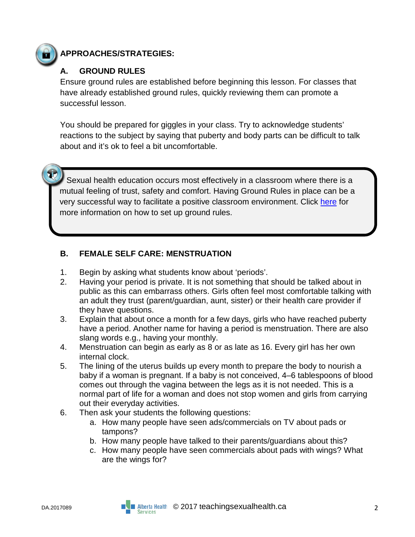

T

## **APPROACHES/STRATEGIES:**

## **A. GROUND RULES**

Ensure ground rules are established before beginning this lesson. For classes that have already established ground rules, quickly reviewing them can promote a successful lesson.

You should be prepared for giggles in your class. Try to acknowledge students' reactions to the subject by saying that puberty and body parts can be difficult to talk about and it's ok to feel a bit uncomfortable.

 Sexual health education occurs most effectively in a classroom where there is a mutual feeling of trust, safety and comfort. Having Ground Rules in place can be a very successful way to facilitate a positive classroom environment. Click [here](https://teachingsexualhealth.ca/teachers/sexual-health-education/understanding-your-role/get-prepared/ground-rules/) for more information on how to set up ground rules.

## **B. FEMALE SELF CARE: MENSTRUATION**

- 1. Begin by asking what students know about 'periods'.
- 2. Having your period is private. It is not something that should be talked about in public as this can embarrass others. Girls often feel most comfortable talking with an adult they trust (parent/guardian, aunt, sister) or their health care provider if they have questions.
- 3. Explain that about once a month for a few days, girls who have reached puberty have a period. Another name for having a period is menstruation. There are also slang words e.g., having your monthly.
- 4. Menstruation can begin as early as 8 or as late as 16. Every girl has her own internal clock.
- 5. The lining of the uterus builds up every month to prepare the body to nourish a baby if a woman is pregnant. If a baby is not conceived, 4–6 tablespoons of blood comes out through the vagina between the legs as it is not needed. This is a normal part of life for a woman and does not stop women and girls from carrying out their everyday activities.
- 6. Then ask your students the following questions:
	- a. How many people have seen ads/commercials on TV about pads or tampons?
	- b. How many people have talked to their parents/guardians about this?
	- c. How many people have seen commercials about pads with wings? What are the wings for?

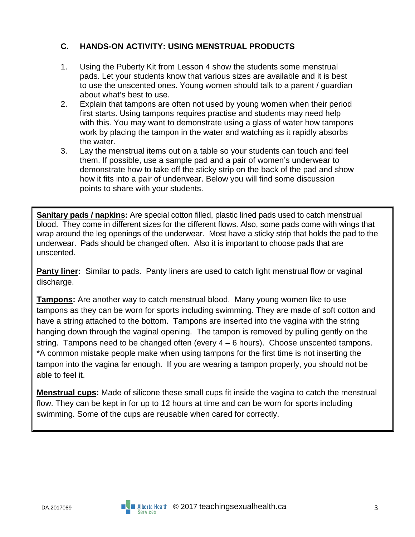## **C. HANDS-ON ACTIVITY: USING MENSTRUAL PRODUCTS**

- 1. Using the Puberty Kit from Lesson 4 show the students some menstrual pads. Let your students know that various sizes are available and it is best to use the unscented ones. Young women should talk to a parent / guardian about what's best to use.
- 2. Explain that tampons are often not used by young women when their period first starts. Using tampons requires practise and students may need help with this. You may want to demonstrate using a glass of water how tampons work by placing the tampon in the water and watching as it rapidly absorbs the water.
- 3. Lay the menstrual items out on a table so your students can touch and feel them. If possible, use a sample pad and a pair of women's underwear to demonstrate how to take off the sticky strip on the back of the pad and show how it fits into a pair of underwear. Below you will find some discussion points to share with your students.

**Sanitary pads / napkins:** Are special cotton filled, plastic lined pads used to catch menstrual blood. They come in different sizes for the different flows. Also, some pads come with wings that wrap around the leg openings of the underwear. Most have a sticky strip that holds the pad to the underwear. Pads should be changed often. Also it is important to choose pads that are unscented.

**Panty liner:** Similar to pads. Panty liners are used to catch light menstrual flow or vaginal discharge.

**Tampons:** Are another way to catch menstrual blood. Many young women like to use tampons as they can be worn for sports including swimming. They are made of soft cotton and have a string attached to the bottom. Tampons are inserted into the vagina with the string hanging down through the vaginal opening. The tampon is removed by pulling gently on the string. Tampons need to be changed often (every 4 – 6 hours). Choose unscented tampons. \*A common mistake people make when using tampons for the first time is not inserting the tampon into the vagina far enough. If you are wearing a tampon properly, you should not be able to feel it.

**Menstrual cups:** Made of silicone these small cups fit inside the vagina to catch the menstrual flow. They can be kept in for up to 12 hours at time and can be worn for sports including swimming. Some of the cups are reusable when cared for correctly.

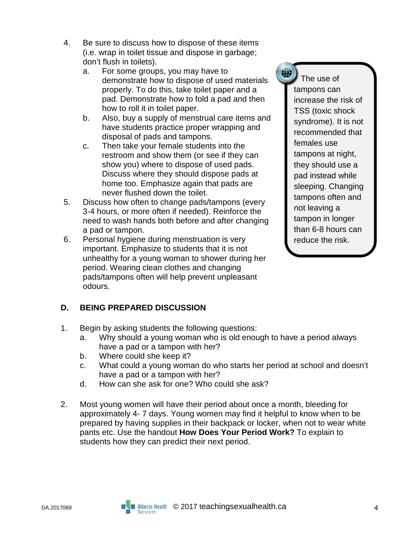- 4. Be sure to discuss how to dispose of these items (i.e. wrap in toilet tissue and dispose in garbage; don't flush in toilets).
	- a. For some groups, you may have to demonstrate how to dispose of used materials properly. To do this, take toilet paper and a pad. Demonstrate how to fold a pad and then how to roll it in toilet paper.
	- b. Also, buy a supply of menstrual care items and have students practice proper wrapping and disposal of pads and tampons.
	- c. Then take your female students into the restroom and show them (or see if they can show you) where to dispose of used pads. Discuss where they should dispose pads at home too. Emphasize again that pads are never flushed down the toilet.
- 5. Discuss how often to change pads/tampons (every 3-4 hours, or more often if needed). Reinforce the need to wash hands both before and after changing a pad or tampon.
- 6. Personal hygiene during menstruation is very important. Emphasize to students that it is not unhealthy for a young woman to shower during her period. Wearing clean clothes and changing pads/tampons often will help prevent unpleasant odours.

**D. BEING PREPARED DISCUSSION**

- 1. Begin by asking students the following questions:
	- a. Why should a young woman who is old enough to have a period always have a pad or a tampon with her?
	- b. Where could she keep it?
	- c. What could a young woman do who starts her period at school and doesn't have a pad or a tampon with her?
	- d. How can she ask for one? Who could she ask?
- 2. Most young women will have their period about once a month, bleeding for approximately 4- 7 days. Young women may find it helpful to know when to be prepared by having supplies in their backpack or locker, when not to wear white pants etc. Use the handout **How Does Your Period Work?** To explain to students how they can predict their next period.

 The use of tampons can increase the risk of TSS (toxic shock syndrome). It is not recommended that females use tampons at night, they should use a pad instead while sleeping. Changing tampons often and not leaving a tampon in longer than 6-8 hours can reduce the risk.

(1)

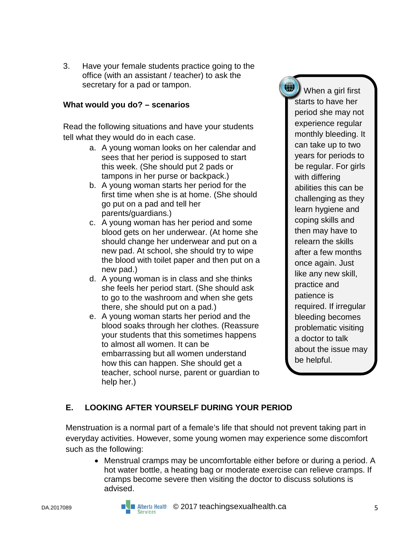3. Have your female students practice going to the office (with an assistant / teacher) to ask the secretary for a pad or tampon.

### **What would you do? – scenarios**

Read the following situations and have your students tell what they would do in each case.

- a. A young woman looks on her calendar and sees that her period is supposed to start this week. (She should put 2 pads or tampons in her purse or backpack.)
- b. A young woman starts her period for the first time when she is at home. (She should go put on a pad and tell her parents/guardians.)
- c. A young woman has her period and some blood gets on her underwear. (At home she should change her underwear and put on a new pad. At school, she should try to wipe the blood with toilet paper and then put on a new pad.)
- d. A young woman is in class and she thinks she feels her period start. (She should ask to go to the washroom and when she gets there, she should put on a pad.)
- e. A young woman starts her period and the blood soaks through her clothes. (Reassure your students that this sometimes happens to almost all women. It can be embarrassing but all women understand how this can happen. She should get a teacher, school nurse, parent or guardian to help her.)

 $\left(\mathbb{R}\right)$  When a girl first starts to have her period she may not experience regular monthly bleeding. It can take up to two years for periods to be regular. For girls with differing abilities this can be challenging as they learn hygiene and coping skills and then may have to relearn the skills after a few months once again. Just like any new skill, practice and patience is required. If irregular bleeding becomes problematic visiting a doctor to talk about the issue may be helpful.

## **E. LOOKING AFTER YOURSELF DURING YOUR PERIOD**

Menstruation is a normal part of a female's life that should not prevent taking part in everyday activities. However, some young women may experience some discomfort such as the following:

• Menstrual cramps may be uncomfortable either before or during a period. A hot water bottle, a heating bag or moderate exercise can relieve cramps. If cramps become severe then visiting the doctor to discuss solutions is advised.

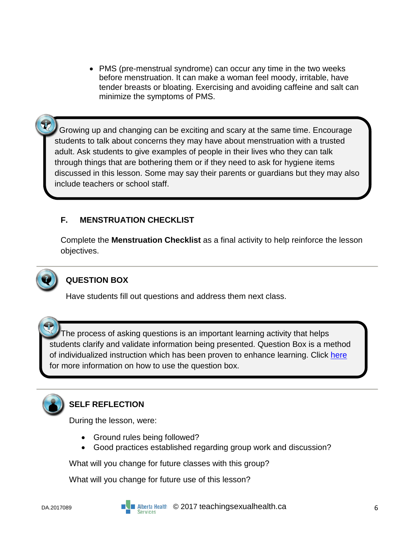• PMS (pre-menstrual syndrome) can occur any time in the two weeks before menstruation. It can make a woman feel moody, irritable, have tender breasts or bloating. Exercising and avoiding caffeine and salt can minimize the symptoms of PMS.

Growing up and changing can be exciting and scary at the same time. Encourage students to talk about concerns they may have about menstruation with a trusted adult. Ask students to give examples of people in their lives who they can talk through things that are bothering them or if they need to ask for hygiene items discussed in this lesson. Some may say their parents or guardians but they may also include teachers or school staff.

## **F. MENSTRUATION CHECKLIST**

Complete the **Menstruation Checklist** as a final activity to help reinforce the lesson objectives.



## **QUESTION BOX**

Have students fill out questions and address them next class.

 The process of asking questions is an important learning activity that helps students clarify and validate information being presented. Question Box is a method of individualized instruction which has been proven to enhance learning. Click [here](https://teachingsexualhealth.ca/teachers/sexual-health-education/responding-to-student-questions/) for more information on how to use the question box.



# **SELF REFLECTION**

During the lesson, were:

- Ground rules being followed?
- Good practices established regarding group work and discussion?

What will you change for future classes with this group?

What will you change for future use of this lesson?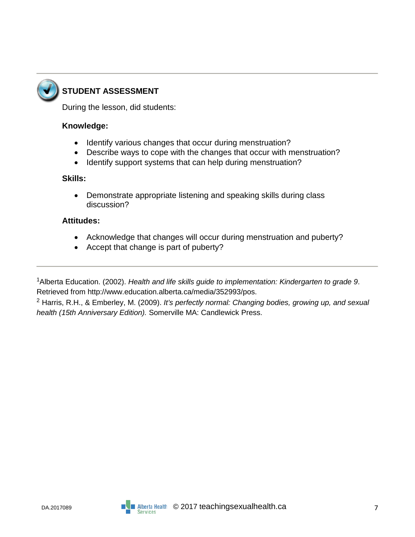

# **STUDENT ASSESSMENT**

During the lesson, did students:

### **Knowledge:**

- Identify various changes that occur during menstruation?
- Describe ways to cope with the changes that occur with menstruation?
- Identify support systems that can help during menstruation?

### **Skills:**

• Demonstrate appropriate listening and speaking skills during class discussion?

#### **Attitudes:**

- Acknowledge that changes will occur during menstruation and puberty?
- Accept that change is part of puberty?

1Alberta Education. (2002). *Health and life skills guide to implementation: Kindergarten to grade 9*. Retrieved from http://www.education.alberta.ca/media/352993/pos.

<sup>2</sup> Harris, R.H., & Emberley, M. (2009). *It's perfectly normal: Changing bodies, growing up, and sexual health (15th Anniversary Edition).* Somerville MA: Candlewick Press.

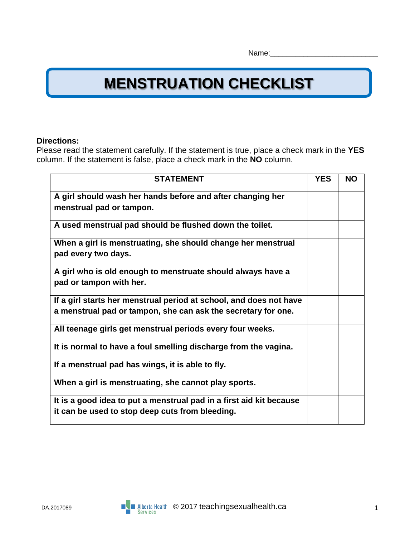# **MENSTRUATION CHECKLIST**

### **Directions:**

Please read the statement carefully. If the statement is true, place a check mark in the **YES** column. If the statement is false, place a check mark in the **NO** column.

| <b>STATEMENT</b>                                                                                                       | <b>YES</b> | <b>NO</b> |
|------------------------------------------------------------------------------------------------------------------------|------------|-----------|
| A girl should wash her hands before and after changing her<br>menstrual pad or tampon.                                 |            |           |
| A used menstrual pad should be flushed down the toilet.                                                                |            |           |
| When a girl is menstruating, she should change her menstrual<br>pad every two days.                                    |            |           |
| A girl who is old enough to menstruate should always have a<br>pad or tampon with her.                                 |            |           |
| If a girl starts her menstrual period at school, and does not have                                                     |            |           |
| a menstrual pad or tampon, she can ask the secretary for one.                                                          |            |           |
| All teenage girls get menstrual periods every four weeks.                                                              |            |           |
| It is normal to have a foul smelling discharge from the vagina.                                                        |            |           |
| If a menstrual pad has wings, it is able to fly.                                                                       |            |           |
| When a girl is menstruating, she cannot play sports.                                                                   |            |           |
| It is a good idea to put a menstrual pad in a first aid kit because<br>it can be used to stop deep cuts from bleeding. |            |           |

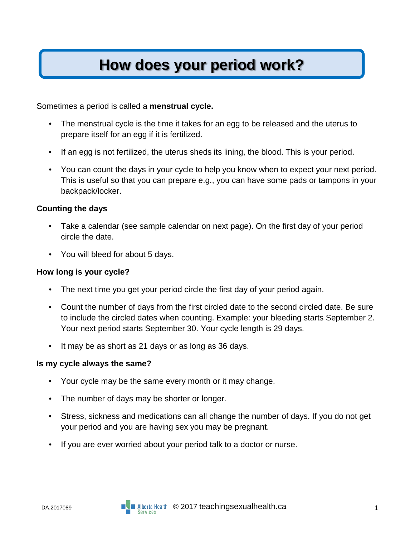# **How does your period work?**

Sometimes a period is called a **menstrual cycle.** 

- The menstrual cycle is the time it takes for an egg to be released and the uterus to prepare itself for an egg if it is fertilized.
- If an egg is not fertilized, the uterus sheds its lining, the blood. This is your period.
- You can count the days in your cycle to help you know when to expect your next period. This is useful so that you can prepare e.g., you can have some pads or tampons in your backpack/locker.

### **Counting the days**

- Take a calendar (see sample calendar on next page). On the first day of your period circle the date.
- You will bleed for about 5 days.

#### **How long is your cycle?**

- The next time you get your period circle the first day of your period again.
- Count the number of days from the first circled date to the second circled date. Be sure to include the circled dates when counting. Example: your bleeding starts September 2. Your next period starts September 30. Your cycle length is 29 days.
- It may be as short as 21 days or as long as 36 days.

#### **Is my cycle always the same?**

- Your cycle may be the same every month or it may change.
- The number of days may be shorter or longer.
- Stress, sickness and medications can all change the number of days. If you do not get your period and you are having sex you may be pregnant.
- If you are ever worried about your period talk to a doctor or nurse.